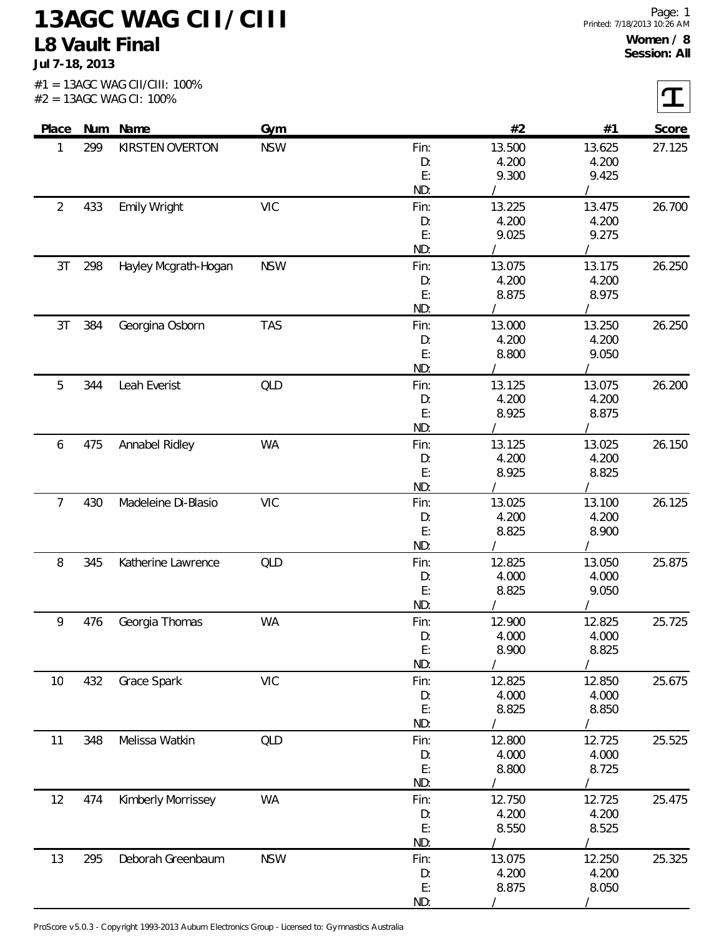## **13AGC WAG CII/CIII L8 Vault Final**

**Jul 7-18, 2013**

 $\sqrt{ }$ 

|                |     | $#2 = 13AGC$ WAG CI: 100% |            |           |                |                | ┸      |
|----------------|-----|---------------------------|------------|-----------|----------------|----------------|--------|
| Place          |     | Num Name                  | Gym        |           | #2             | #1             | Score  |
| 1              | 299 | KIRSTEN OVERTON           | <b>NSW</b> | Fin:      | 13.500         | 13.625         | 27.125 |
|                |     |                           |            | D:        | 4.200          | 4.200          |        |
|                |     |                           |            | E:<br>ND: | 9.300          | 9.425          |        |
| $\overline{2}$ | 433 | Emily Wright              | <b>VIC</b> | Fin:      | 13.225         | 13.475         | 26.700 |
|                |     |                           |            | D:        | 4.200          | 4.200          |        |
|                |     |                           |            | E:        | 9.025          | 9.275          |        |
|                |     |                           |            | ND:       |                |                |        |
| 3T             | 298 | Hayley Mcgrath-Hogan      | <b>NSW</b> | Fin:      | 13.075         | 13.175         | 26.250 |
|                |     |                           |            | D:        | 4.200          | 4.200          |        |
|                |     |                           |            | E:<br>ND: | 8.875          | 8.975          |        |
| 3T             | 384 | Georgina Osborn           | <b>TAS</b> | Fin:      | 13.000         | 13.250         | 26.250 |
|                |     |                           |            | D:        | 4.200          | 4.200          |        |
|                |     |                           |            | E:        | 8.800          | 9.050          |        |
|                |     |                           |            | ND:       |                |                |        |
| 5              | 344 | Leah Everist              | <b>QLD</b> | Fin:      | 13.125         | 13.075         | 26.200 |
|                |     |                           |            | D:        | 4.200          | 4.200          |        |
|                |     |                           |            | E:        | 8.925          | 8.875          |        |
|                |     |                           |            | ND:       |                |                |        |
| 6              | 475 | Annabel Ridley            | <b>WA</b>  | Fin:      | 13.125         | 13.025         | 26.150 |
|                |     |                           |            | D:        | 4.200          | 4.200          |        |
|                |     |                           |            | E:        | 8.925          | 8.825          |        |
|                |     |                           |            | ND:       |                |                |        |
| 7              | 430 | Madeleine Di-Blasio       | <b>VIC</b> | Fin:      | 13.025         | 13.100         | 26.125 |
|                |     |                           |            | D:<br>E:  | 4.200<br>8.825 | 4.200<br>8.900 |        |
|                |     |                           |            | ND:       |                |                |        |
| 8              | 345 | Katherine Lawrence        | QLD        | Fin:      | 12.825         | 13.050         | 25.875 |
|                |     |                           |            | D:        | 4.000          | 4.000          |        |
|                |     |                           |            | E:        | 8.825          | 9.050          |        |
|                |     |                           |            | ND:       |                |                |        |
| 9              | 476 | Georgia Thomas            | <b>WA</b>  | Fin:      | 12.900         | 12.825         | 25.725 |
|                |     |                           |            | D:        | 4.000          | 4.000          |        |
|                |     |                           |            | E:        | 8.900          | 8.825          |        |
|                |     |                           |            | ND:       |                |                |        |
| 10             | 432 | Grace Spark               | <b>VIC</b> | Fin:      | 12.825         | 12.850         | 25.675 |
|                |     |                           |            | D:<br>E:  | 4.000<br>8.825 | 4.000<br>8.850 |        |
|                |     |                           |            | ND:       |                |                |        |
| 11             | 348 | Melissa Watkin            | <b>QLD</b> | Fin:      | 12.800         | 12.725         | 25.525 |
|                |     |                           |            | D:        | 4.000          | 4.000          |        |
|                |     |                           |            | E:        | 8.800          | 8.725          |        |
|                |     |                           |            | ND:       |                |                |        |
| 12             | 474 | Kimberly Morrissey        | WA         | Fin:      | 12.750         | 12.725         | 25.475 |
|                |     |                           |            | D:        | 4.200          | 4.200          |        |
|                |     |                           |            | E:        | 8.550          | 8.525          |        |
|                |     |                           |            | ND:       |                |                |        |
| 13             | 295 | Deborah Greenbaum         | <b>NSW</b> | Fin:      | 13.075         | 12.250         | 25.325 |
|                |     |                           |            | D:        | 4.200          | 4.200          |        |
|                |     |                           |            | E:        | 8.875          | 8.050          |        |
|                |     |                           |            | ND:       |                |                |        |

ProScore v5.0.3 - Copyright 1993-2013 Auburn Electronics Group - Licensed to: Gymnastics Australia